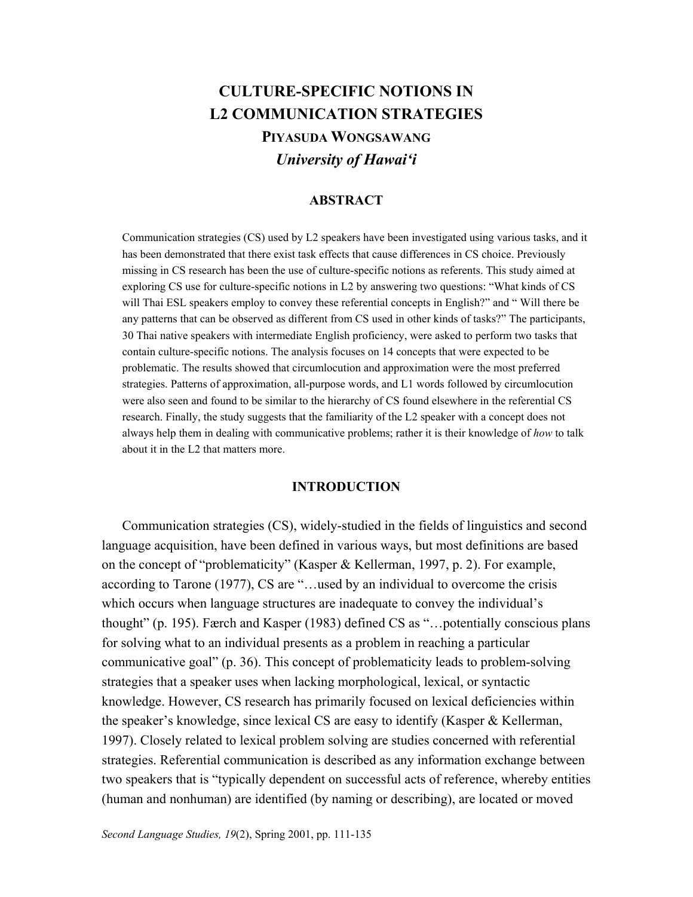# **CULTURE-SPECIFIC NOTIONS IN L2 COMMUNICATION STRATEGIES PIYASUDA WONGSAWANG** *University of Hawai'i*

#### **ABSTRACT**

Communication strategies (CS) used by L2 speakers have been investigated using various tasks, and it has been demonstrated that there exist task effects that cause differences in CS choice. Previously missing in CS research has been the use of culture-specific notions as referents. This study aimed at exploring CS use for culture-specific notions in L2 by answering two questions: "What kinds of CS will Thai ESL speakers employ to convey these referential concepts in English?" and " Will there be any patterns that can be observed as different from CS used in other kinds of tasks?" The participants, 30 Thai native speakers with intermediate English proficiency, were asked to perform two tasks that contain culture-specific notions. The analysis focuses on 14 concepts that were expected to be problematic. The results showed that circumlocution and approximation were the most preferred strategies. Patterns of approximation, all-purpose words, and L1 words followed by circumlocution were also seen and found to be similar to the hierarchy of CS found elsewhere in the referential CS research. Finally, the study suggests that the familiarity of the L2 speaker with a concept does not always help them in dealing with communicative problems; rather it is their knowledge of *how* to talk about it in the L2 that matters more.

#### **INTRODUCTION**

Communication strategies (CS), widely-studied in the fields of linguistics and second language acquisition, have been defined in various ways, but most definitions are based on the concept of "problematicity" (Kasper & Kellerman, 1997, p. 2). For example, according to Tarone (1977), CS are "…used by an individual to overcome the crisis which occurs when language structures are inadequate to convey the individual's thought" (p. 195). Færch and Kasper (1983) defined CS as "…potentially conscious plans for solving what to an individual presents as a problem in reaching a particular communicative goal" (p. 36). This concept of problematicity leads to problem-solving strategies that a speaker uses when lacking morphological, lexical, or syntactic knowledge. However, CS research has primarily focused on lexical deficiencies within the speaker's knowledge, since lexical CS are easy to identify (Kasper & Kellerman, 1997). Closely related to lexical problem solving are studies concerned with referential strategies. Referential communication is described as any information exchange between two speakers that is "typically dependent on successful acts of reference, whereby entities (human and nonhuman) are identified (by naming or describing), are located or moved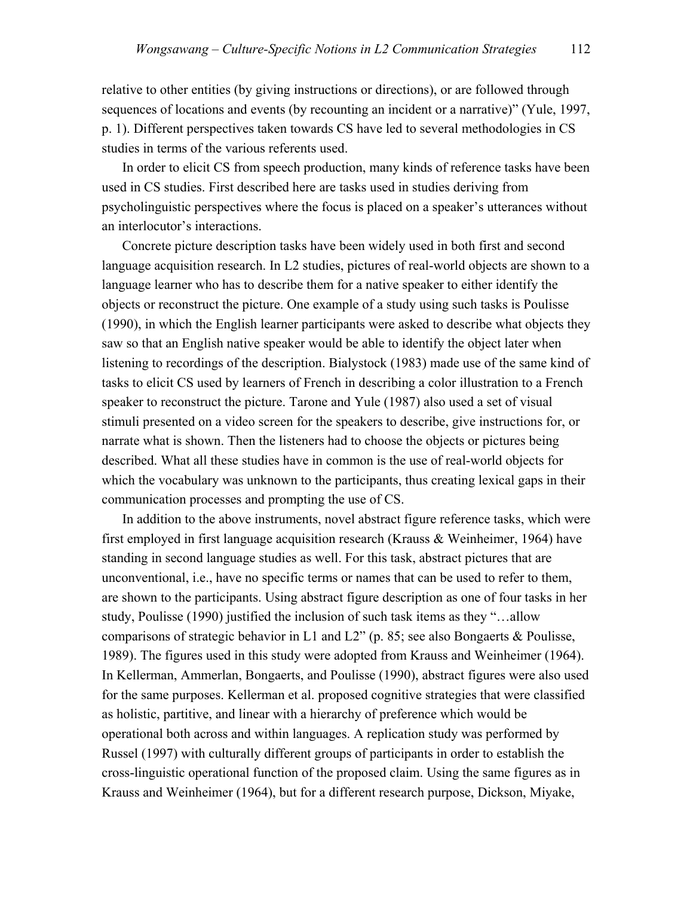relative to other entities (by giving instructions or directions), or are followed through sequences of locations and events (by recounting an incident or a narrative)" (Yule, 1997, p. 1). Different perspectives taken towards CS have led to several methodologies in CS studies in terms of the various referents used.

In order to elicit CS from speech production, many kinds of reference tasks have been used in CS studies. First described here are tasks used in studies deriving from psycholinguistic perspectives where the focus is placed on a speaker's utterances without an interlocutor's interactions.

Concrete picture description tasks have been widely used in both first and second language acquisition research. In L2 studies, pictures of real-world objects are shown to a language learner who has to describe them for a native speaker to either identify the objects or reconstruct the picture. One example of a study using such tasks is Poulisse (1990), in which the English learner participants were asked to describe what objects they saw so that an English native speaker would be able to identify the object later when listening to recordings of the description. Bialystock (1983) made use of the same kind of tasks to elicit CS used by learners of French in describing a color illustration to a French speaker to reconstruct the picture. Tarone and Yule (1987) also used a set of visual stimuli presented on a video screen for the speakers to describe, give instructions for, or narrate what is shown. Then the listeners had to choose the objects or pictures being described. What all these studies have in common is the use of real-world objects for which the vocabulary was unknown to the participants, thus creating lexical gaps in their communication processes and prompting the use of CS.

In addition to the above instruments, novel abstract figure reference tasks, which were first employed in first language acquisition research (Krauss & Weinheimer, 1964) have standing in second language studies as well. For this task, abstract pictures that are unconventional, i.e., have no specific terms or names that can be used to refer to them, are shown to the participants. Using abstract figure description as one of four tasks in her study, Poulisse (1990) justified the inclusion of such task items as they "…allow comparisons of strategic behavior in L1 and L2" (p. 85; see also Bongaerts  $\&$  Poulisse, 1989). The figures used in this study were adopted from Krauss and Weinheimer (1964). In Kellerman, Ammerlan, Bongaerts, and Poulisse (1990), abstract figures were also used for the same purposes. Kellerman et al. proposed cognitive strategies that were classified as holistic, partitive, and linear with a hierarchy of preference which would be operational both across and within languages. A replication study was performed by Russel (1997) with culturally different groups of participants in order to establish the cross-linguistic operational function of the proposed claim. Using the same figures as in Krauss and Weinheimer (1964), but for a different research purpose, Dickson, Miyake,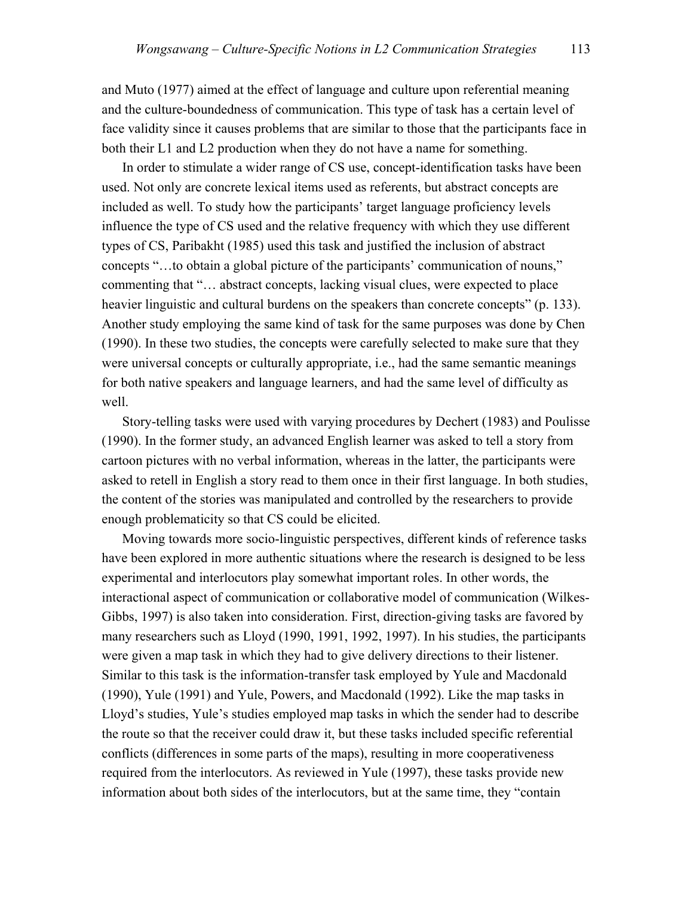and Muto (1977) aimed at the effect of language and culture upon referential meaning and the culture-boundedness of communication. This type of task has a certain level of face validity since it causes problems that are similar to those that the participants face in both their L1 and L2 production when they do not have a name for something.

In order to stimulate a wider range of CS use, concept-identification tasks have been used. Not only are concrete lexical items used as referents, but abstract concepts are included as well. To study how the participants' target language proficiency levels influence the type of CS used and the relative frequency with which they use different types of CS, Paribakht (1985) used this task and justified the inclusion of abstract concepts "…to obtain a global picture of the participants' communication of nouns," commenting that "… abstract concepts, lacking visual clues, were expected to place heavier linguistic and cultural burdens on the speakers than concrete concepts" (p. 133). Another study employing the same kind of task for the same purposes was done by Chen (1990). In these two studies, the concepts were carefully selected to make sure that they were universal concepts or culturally appropriate, i.e., had the same semantic meanings for both native speakers and language learners, and had the same level of difficulty as well.

Story-telling tasks were used with varying procedures by Dechert (1983) and Poulisse (1990). In the former study, an advanced English learner was asked to tell a story from cartoon pictures with no verbal information, whereas in the latter, the participants were asked to retell in English a story read to them once in their first language. In both studies, the content of the stories was manipulated and controlled by the researchers to provide enough problematicity so that CS could be elicited.

Moving towards more socio-linguistic perspectives, different kinds of reference tasks have been explored in more authentic situations where the research is designed to be less experimental and interlocutors play somewhat important roles. In other words, the interactional aspect of communication or collaborative model of communication (Wilkes-Gibbs, 1997) is also taken into consideration. First, direction-giving tasks are favored by many researchers such as Lloyd (1990, 1991, 1992, 1997). In his studies, the participants were given a map task in which they had to give delivery directions to their listener. Similar to this task is the information-transfer task employed by Yule and Macdonald (1990), Yule (1991) and Yule, Powers, and Macdonald (1992). Like the map tasks in Lloyd's studies, Yule's studies employed map tasks in which the sender had to describe the route so that the receiver could draw it, but these tasks included specific referential conflicts (differences in some parts of the maps), resulting in more cooperativeness required from the interlocutors. As reviewed in Yule (1997), these tasks provide new information about both sides of the interlocutors, but at the same time, they "contain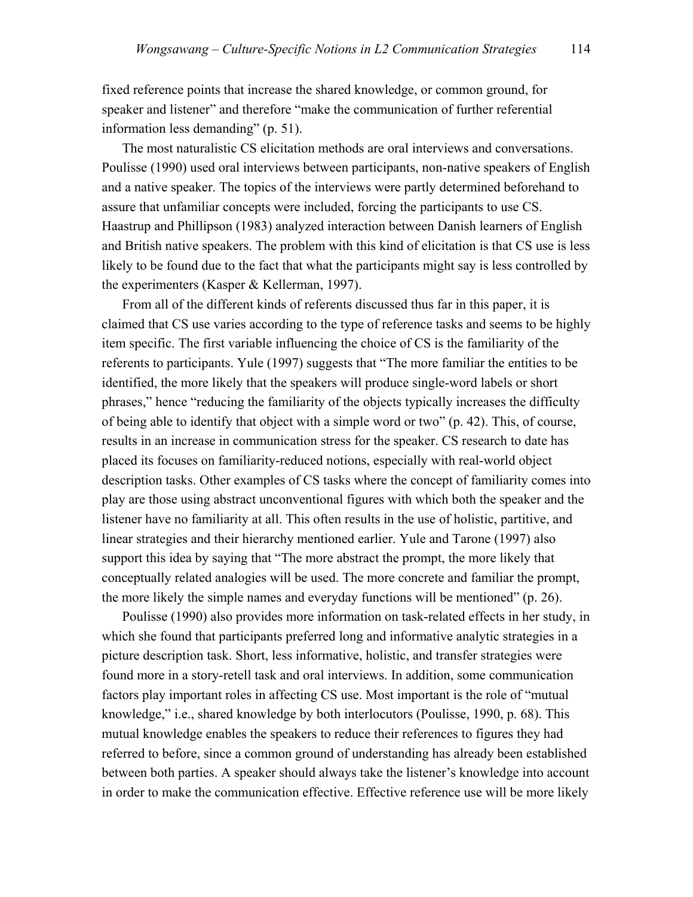fixed reference points that increase the shared knowledge, or common ground, for speaker and listener" and therefore "make the communication of further referential information less demanding" (p. 51).

The most naturalistic CS elicitation methods are oral interviews and conversations. Poulisse (1990) used oral interviews between participants, non-native speakers of English and a native speaker. The topics of the interviews were partly determined beforehand to assure that unfamiliar concepts were included, forcing the participants to use CS. Haastrup and Phillipson (1983) analyzed interaction between Danish learners of English and British native speakers. The problem with this kind of elicitation is that CS use is less likely to be found due to the fact that what the participants might say is less controlled by the experimenters (Kasper & Kellerman, 1997).

From all of the different kinds of referents discussed thus far in this paper, it is claimed that CS use varies according to the type of reference tasks and seems to be highly item specific. The first variable influencing the choice of CS is the familiarity of the referents to participants. Yule (1997) suggests that "The more familiar the entities to be identified, the more likely that the speakers will produce single-word labels or short phrases," hence "reducing the familiarity of the objects typically increases the difficulty of being able to identify that object with a simple word or two" (p. 42). This, of course, results in an increase in communication stress for the speaker. CS research to date has placed its focuses on familiarity-reduced notions, especially with real-world object description tasks. Other examples of CS tasks where the concept of familiarity comes into play are those using abstract unconventional figures with which both the speaker and the listener have no familiarity at all. This often results in the use of holistic, partitive, and linear strategies and their hierarchy mentioned earlier. Yule and Tarone (1997) also support this idea by saying that "The more abstract the prompt, the more likely that conceptually related analogies will be used. The more concrete and familiar the prompt, the more likely the simple names and everyday functions will be mentioned" (p. 26).

Poulisse (1990) also provides more information on task-related effects in her study, in which she found that participants preferred long and informative analytic strategies in a picture description task. Short, less informative, holistic, and transfer strategies were found more in a story-retell task and oral interviews. In addition, some communication factors play important roles in affecting CS use. Most important is the role of "mutual knowledge," i.e., shared knowledge by both interlocutors (Poulisse, 1990, p. 68). This mutual knowledge enables the speakers to reduce their references to figures they had referred to before, since a common ground of understanding has already been established between both parties. A speaker should always take the listener's knowledge into account in order to make the communication effective. Effective reference use will be more likely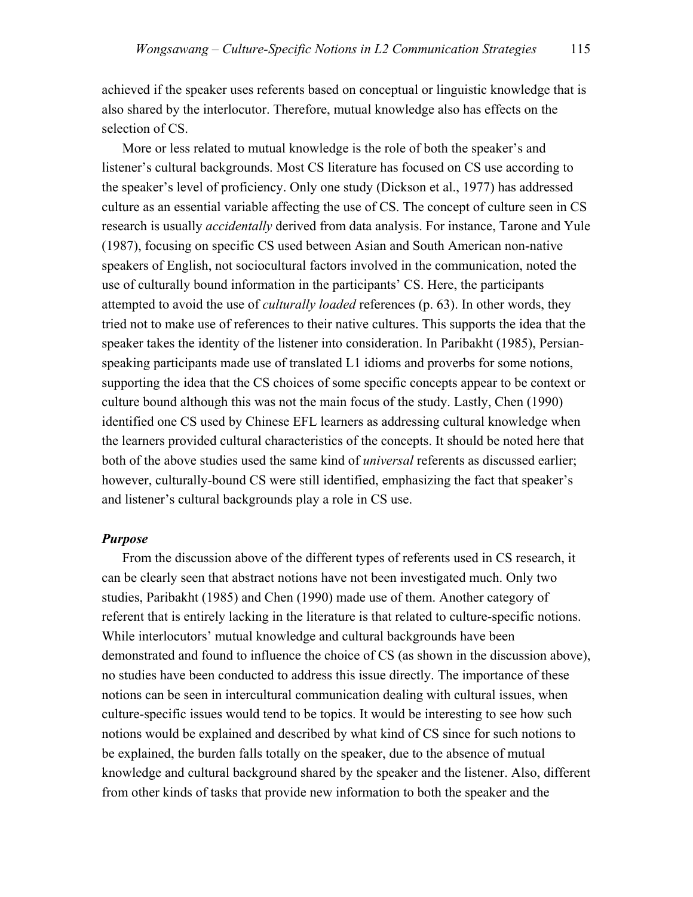achieved if the speaker uses referents based on conceptual or linguistic knowledge that is also shared by the interlocutor. Therefore, mutual knowledge also has effects on the selection of CS.

More or less related to mutual knowledge is the role of both the speaker's and listener's cultural backgrounds. Most CS literature has focused on CS use according to the speaker's level of proficiency. Only one study (Dickson et al., 1977) has addressed culture as an essential variable affecting the use of CS. The concept of culture seen in CS research is usually *accidentally* derived from data analysis. For instance, Tarone and Yule (1987), focusing on specific CS used between Asian and South American non-native speakers of English, not sociocultural factors involved in the communication, noted the use of culturally bound information in the participants' CS. Here, the participants attempted to avoid the use of *culturally loaded* references (p. 63). In other words, they tried not to make use of references to their native cultures. This supports the idea that the speaker takes the identity of the listener into consideration. In Paribakht (1985), Persianspeaking participants made use of translated L1 idioms and proverbs for some notions, supporting the idea that the CS choices of some specific concepts appear to be context or culture bound although this was not the main focus of the study. Lastly, Chen (1990) identified one CS used by Chinese EFL learners as addressing cultural knowledge when the learners provided cultural characteristics of the concepts. It should be noted here that both of the above studies used the same kind of *universal* referents as discussed earlier; however, culturally-bound CS were still identified, emphasizing the fact that speaker's and listener's cultural backgrounds play a role in CS use.

#### *Purpose*

From the discussion above of the different types of referents used in CS research, it can be clearly seen that abstract notions have not been investigated much. Only two studies, Paribakht (1985) and Chen (1990) made use of them. Another category of referent that is entirely lacking in the literature is that related to culture-specific notions. While interlocutors' mutual knowledge and cultural backgrounds have been demonstrated and found to influence the choice of CS (as shown in the discussion above), no studies have been conducted to address this issue directly. The importance of these notions can be seen in intercultural communication dealing with cultural issues, when culture-specific issues would tend to be topics. It would be interesting to see how such notions would be explained and described by what kind of CS since for such notions to be explained, the burden falls totally on the speaker, due to the absence of mutual knowledge and cultural background shared by the speaker and the listener. Also, different from other kinds of tasks that provide new information to both the speaker and the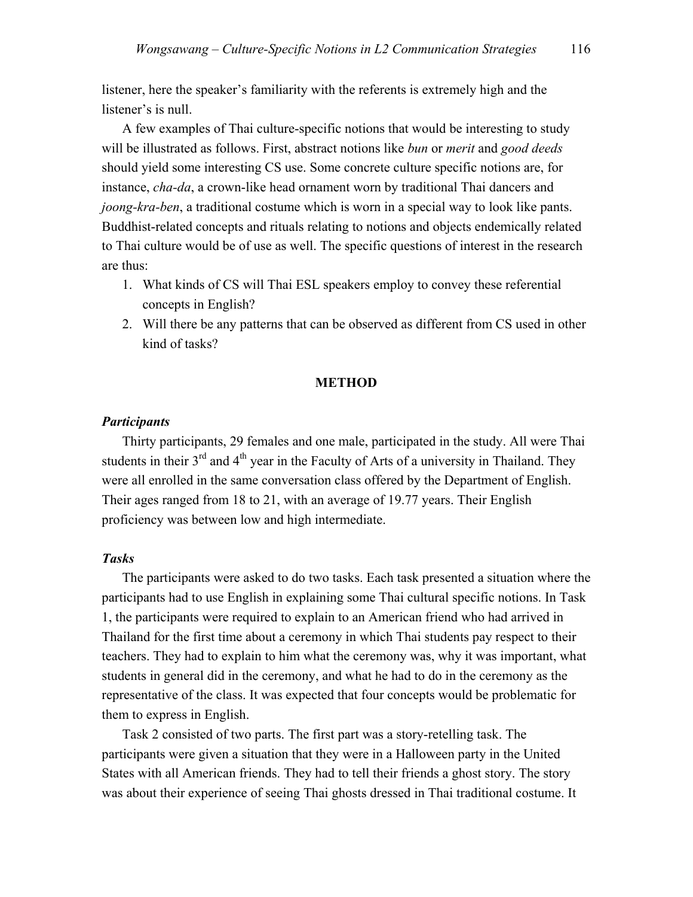listener, here the speaker's familiarity with the referents is extremely high and the listener's is null.

A few examples of Thai culture-specific notions that would be interesting to study will be illustrated as follows. First, abstract notions like *bun* or *merit* and *good deeds* should yield some interesting CS use. Some concrete culture specific notions are, for instance, *cha-da*, a crown-like head ornament worn by traditional Thai dancers and *joong-kra-ben*, a traditional costume which is worn in a special way to look like pants. Buddhist-related concepts and rituals relating to notions and objects endemically related to Thai culture would be of use as well. The specific questions of interest in the research are thus:

- 1. What kinds of CS will Thai ESL speakers employ to convey these referential concepts in English?
- 2. Will there be any patterns that can be observed as different from CS used in other kind of tasks?

#### **METHOD**

#### *Participants*

Thirty participants, 29 females and one male, participated in the study. All were Thai students in their  $3<sup>rd</sup>$  and  $4<sup>th</sup>$  year in the Faculty of Arts of a university in Thailand. They were all enrolled in the same conversation class offered by the Department of English. Their ages ranged from 18 to 21, with an average of 19.77 years. Their English proficiency was between low and high intermediate.

#### *Tasks*

The participants were asked to do two tasks. Each task presented a situation where the participants had to use English in explaining some Thai cultural specific notions. In Task 1, the participants were required to explain to an American friend who had arrived in Thailand for the first time about a ceremony in which Thai students pay respect to their teachers. They had to explain to him what the ceremony was, why it was important, what students in general did in the ceremony, and what he had to do in the ceremony as the representative of the class. It was expected that four concepts would be problematic for them to express in English.

Task 2 consisted of two parts. The first part was a story-retelling task. The participants were given a situation that they were in a Halloween party in the United States with all American friends. They had to tell their friends a ghost story. The story was about their experience of seeing Thai ghosts dressed in Thai traditional costume. It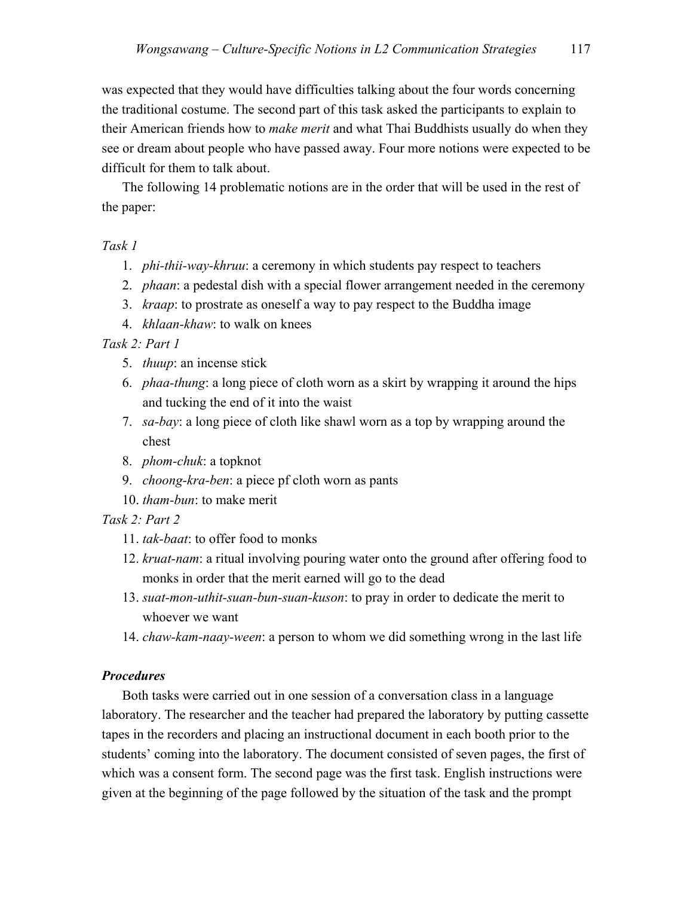was expected that they would have difficulties talking about the four words concerning the traditional costume. The second part of this task asked the participants to explain to their American friends how to *make merit* and what Thai Buddhists usually do when they see or dream about people who have passed away. Four more notions were expected to be difficult for them to talk about.

The following 14 problematic notions are in the order that will be used in the rest of the paper:

*Task 1* 

- 1. *phi-thii-way-khruu*: a ceremony in which students pay respect to teachers
- 2. *phaan*: a pedestal dish with a special flower arrangement needed in the ceremony
- 3. *kraap*: to prostrate as oneself a way to pay respect to the Buddha image
- 4. *khlaan-khaw*: to walk on knees

*Task 2: Part 1* 

- 5. *thuup*: an incense stick
- 6. *phaa-thung*: a long piece of cloth worn as a skirt by wrapping it around the hips and tucking the end of it into the waist
- 7. *sa-bay*: a long piece of cloth like shawl worn as a top by wrapping around the chest
- 8. *phom-chuk*: a topknot
- 9. *choong-kra-ben*: a piece pf cloth worn as pants
- 10. *tham-bun*: to make merit

*Task 2: Part 2* 

- 11. *tak-baat*: to offer food to monks
- 12. *kruat-nam*: a ritual involving pouring water onto the ground after offering food to monks in order that the merit earned will go to the dead
- 13. *suat-mon-uthit-suan-bun-suan-kuson*: to pray in order to dedicate the merit to whoever we want
- 14. *chaw-kam-naay-ween*: a person to whom we did something wrong in the last life

### *Procedures*

Both tasks were carried out in one session of a conversation class in a language laboratory. The researcher and the teacher had prepared the laboratory by putting cassette tapes in the recorders and placing an instructional document in each booth prior to the students' coming into the laboratory. The document consisted of seven pages, the first of which was a consent form. The second page was the first task. English instructions were given at the beginning of the page followed by the situation of the task and the prompt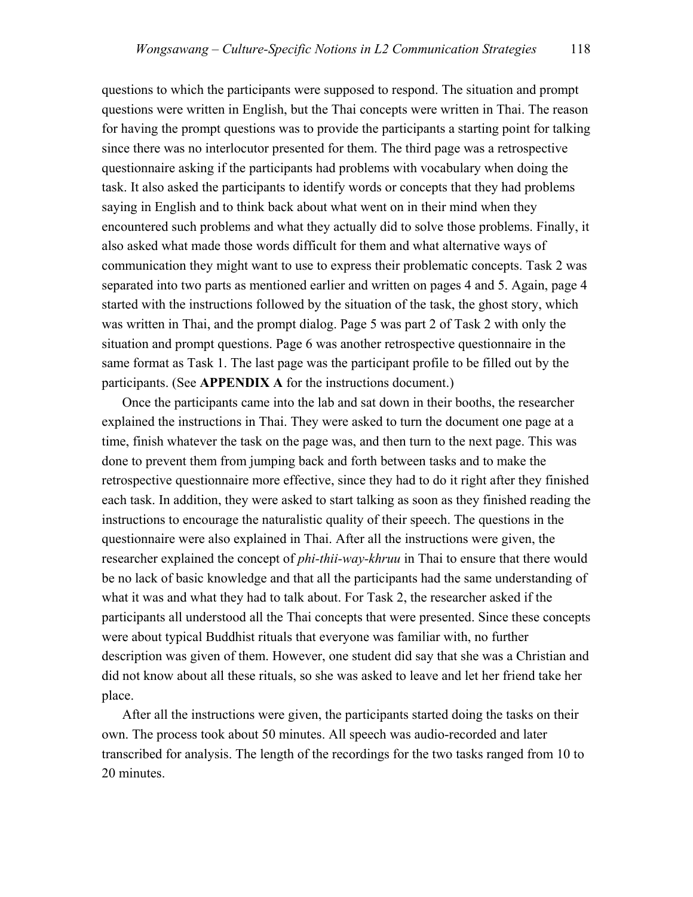questions to which the participants were supposed to respond. The situation and prompt questions were written in English, but the Thai concepts were written in Thai. The reason for having the prompt questions was to provide the participants a starting point for talking since there was no interlocutor presented for them. The third page was a retrospective questionnaire asking if the participants had problems with vocabulary when doing the task. It also asked the participants to identify words or concepts that they had problems saying in English and to think back about what went on in their mind when they encountered such problems and what they actually did to solve those problems. Finally, it also asked what made those words difficult for them and what alternative ways of communication they might want to use to express their problematic concepts. Task 2 was separated into two parts as mentioned earlier and written on pages 4 and 5. Again, page 4 started with the instructions followed by the situation of the task, the ghost story, which was written in Thai, and the prompt dialog. Page 5 was part 2 of Task 2 with only the situation and prompt questions. Page 6 was another retrospective questionnaire in the same format as Task 1. The last page was the participant profile to be filled out by the participants. (See **APPENDIX A** for the instructions document.)

Once the participants came into the lab and sat down in their booths, the researcher explained the instructions in Thai. They were asked to turn the document one page at a time, finish whatever the task on the page was, and then turn to the next page. This was done to prevent them from jumping back and forth between tasks and to make the retrospective questionnaire more effective, since they had to do it right after they finished each task. In addition, they were asked to start talking as soon as they finished reading the instructions to encourage the naturalistic quality of their speech. The questions in the questionnaire were also explained in Thai. After all the instructions were given, the researcher explained the concept of *phi-thii-way-khruu* in Thai to ensure that there would be no lack of basic knowledge and that all the participants had the same understanding of what it was and what they had to talk about. For Task 2, the researcher asked if the participants all understood all the Thai concepts that were presented. Since these concepts were about typical Buddhist rituals that everyone was familiar with, no further description was given of them. However, one student did say that she was a Christian and did not know about all these rituals, so she was asked to leave and let her friend take her place.

After all the instructions were given, the participants started doing the tasks on their own. The process took about 50 minutes. All speech was audio-recorded and later transcribed for analysis. The length of the recordings for the two tasks ranged from 10 to 20 minutes.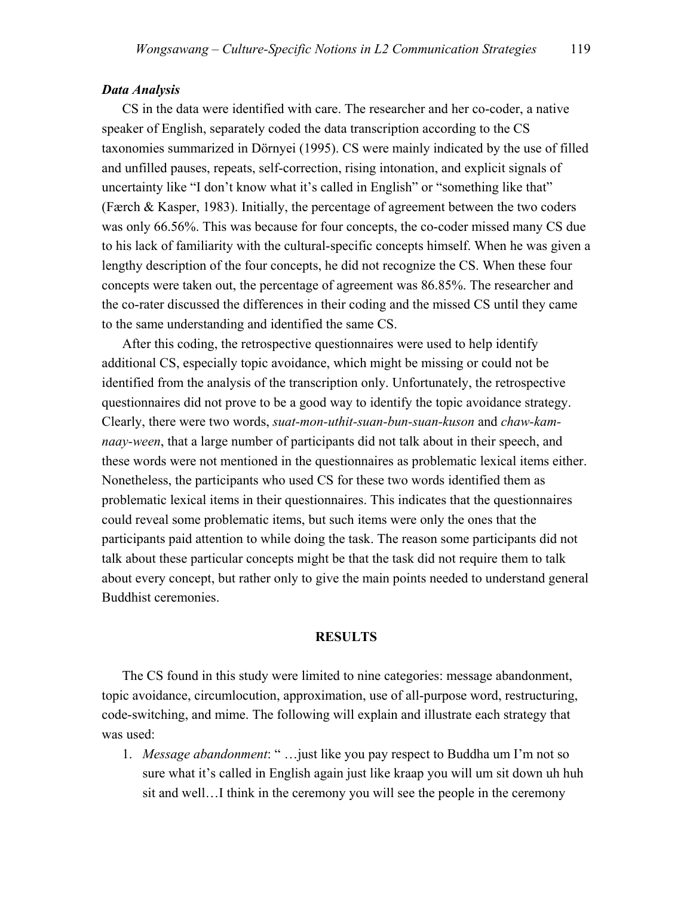#### *Data Analysis*

CS in the data were identified with care. The researcher and her co-coder, a native speaker of English, separately coded the data transcription according to the CS taxonomies summarized in Dörnyei (1995). CS were mainly indicated by the use of filled and unfilled pauses, repeats, self-correction, rising intonation, and explicit signals of uncertainty like "I don't know what it's called in English" or "something like that" (Færch & Kasper, 1983). Initially, the percentage of agreement between the two coders was only 66.56%. This was because for four concepts, the co-coder missed many CS due to his lack of familiarity with the cultural-specific concepts himself. When he was given a lengthy description of the four concepts, he did not recognize the CS. When these four concepts were taken out, the percentage of agreement was 86.85%. The researcher and the co-rater discussed the differences in their coding and the missed CS until they came to the same understanding and identified the same CS.

After this coding, the retrospective questionnaires were used to help identify additional CS, especially topic avoidance, which might be missing or could not be identified from the analysis of the transcription only. Unfortunately, the retrospective questionnaires did not prove to be a good way to identify the topic avoidance strategy. Clearly, there were two words, *suat-mon-uthit-suan-bun-suan-kuson* and *chaw-kamnaay-ween*, that a large number of participants did not talk about in their speech, and these words were not mentioned in the questionnaires as problematic lexical items either. Nonetheless, the participants who used CS for these two words identified them as problematic lexical items in their questionnaires. This indicates that the questionnaires could reveal some problematic items, but such items were only the ones that the participants paid attention to while doing the task. The reason some participants did not talk about these particular concepts might be that the task did not require them to talk about every concept, but rather only to give the main points needed to understand general Buddhist ceremonies.

#### **RESULTS**

 The CS found in this study were limited to nine categories: message abandonment, topic avoidance, circumlocution, approximation, use of all-purpose word, restructuring, code-switching, and mime. The following will explain and illustrate each strategy that was used:

1. *Message abandonment*: " …just like you pay respect to Buddha um I'm not so sure what it's called in English again just like kraap you will um sit down uh huh sit and well…I think in the ceremony you will see the people in the ceremony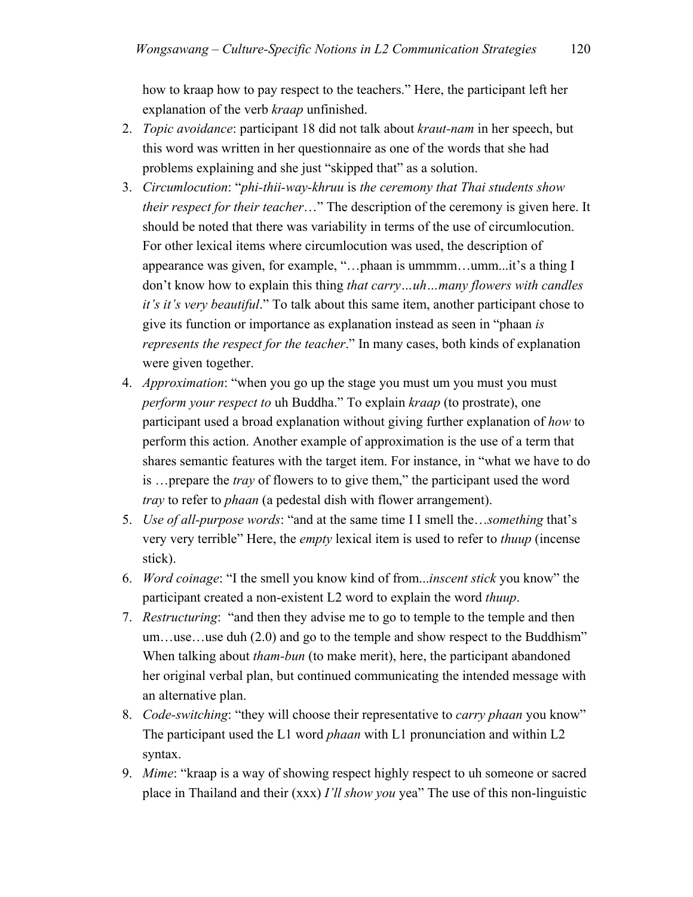how to kraap how to pay respect to the teachers." Here, the participant left her explanation of the verb *kraap* unfinished.

- 2. *Topic avoidance*: participant 18 did not talk about *kraut-nam* in her speech, but this word was written in her questionnaire as one of the words that she had problems explaining and she just "skipped that" as a solution.
- 3. *Circumlocution*: "*phi-thii-way-khruu* is *the ceremony that Thai students show their respect for their teacher*…" The description of the ceremony is given here. It should be noted that there was variability in terms of the use of circumlocution. For other lexical items where circumlocution was used, the description of appearance was given, for example, "…phaan is ummmm…umm...it's a thing I don't know how to explain this thing *that carry…uh…many flowers with candles it's it's very beautiful*." To talk about this same item, another participant chose to give its function or importance as explanation instead as seen in "phaan *is represents the respect for the teacher*." In many cases, both kinds of explanation were given together.
- 4. *Approximation*: "when you go up the stage you must um you must you must *perform your respect to* uh Buddha." To explain *kraap* (to prostrate), one participant used a broad explanation without giving further explanation of *how* to perform this action. Another example of approximation is the use of a term that shares semantic features with the target item. For instance, in "what we have to do is …prepare the *tray* of flowers to to give them," the participant used the word *tray* to refer to *phaan* (a pedestal dish with flower arrangement).
- 5. *Use of all-purpose words*: "and at the same time I I smell the…*something* that's very very terrible" Here, the *empty* lexical item is used to refer to *thuup* (incense stick).
- 6. *Word coinage*: "I the smell you know kind of from...*inscent stick* you know" the participant created a non-existent L2 word to explain the word *thuup*.
- 7. *Restructuring*: "and then they advise me to go to temple to the temple and then um…use…use duh (2.0) and go to the temple and show respect to the Buddhism" When talking about *tham-bun* (to make merit), here, the participant abandoned her original verbal plan, but continued communicating the intended message with an alternative plan.
- 8. *Code-switching*: "they will choose their representative to *carry phaan* you know" The participant used the L1 word *phaan* with L1 pronunciation and within L2 syntax.
- 9. *Mime*: "kraap is a way of showing respect highly respect to uh someone or sacred place in Thailand and their (xxx) *I'll show you* yea" The use of this non-linguistic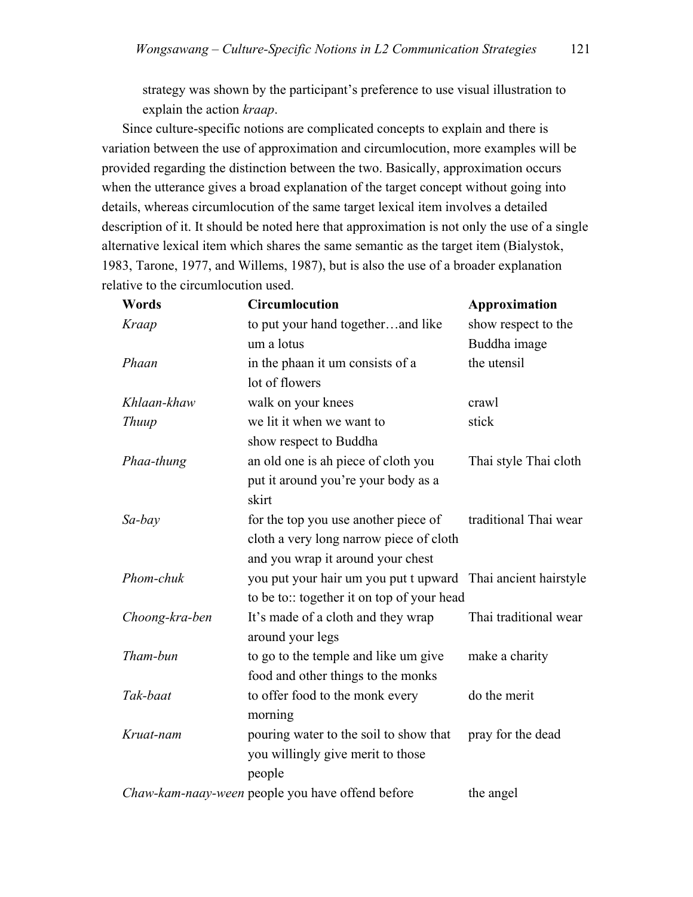strategy was shown by the participant's preference to use visual illustration to explain the action *kraap*.

Since culture-specific notions are complicated concepts to explain and there is variation between the use of approximation and circumlocution, more examples will be provided regarding the distinction between the two. Basically, approximation occurs when the utterance gives a broad explanation of the target concept without going into details, whereas circumlocution of the same target lexical item involves a detailed description of it. It should be noted here that approximation is not only the use of a single alternative lexical item which shares the same semantic as the target item (Bialystok, 1983, Tarone, 1977, and Willems, 1987), but is also the use of a broader explanation relative to the circumlocution used.

| Words          | <b>Circumlocution</b>                                        | Approximation         |  |
|----------------|--------------------------------------------------------------|-----------------------|--|
| Kraap          | to put your hand togetherand like                            | show respect to the   |  |
|                | um a lotus                                                   | Buddha image          |  |
| Phaan          | in the phaan it um consists of a                             | the utensil           |  |
|                | lot of flowers                                               |                       |  |
| Khlaan-khaw    | walk on your knees                                           | crawl                 |  |
| <b>Thuup</b>   | we lit it when we want to                                    | stick                 |  |
|                | show respect to Buddha                                       |                       |  |
| Phaa-thung     | an old one is ah piece of cloth you                          | Thai style Thai cloth |  |
|                | put it around you're your body as a                          |                       |  |
|                | skirt                                                        |                       |  |
| Sa-bay         | for the top you use another piece of                         | traditional Thai wear |  |
|                | cloth a very long narrow piece of cloth                      |                       |  |
|                | and you wrap it around your chest                            |                       |  |
| Phom-chuk      | you put your hair um you put t upward Thai ancient hairstyle |                       |  |
|                | to be to:: together it on top of your head                   |                       |  |
| Choong-kra-ben | It's made of a cloth and they wrap                           | Thai traditional wear |  |
|                | around your legs                                             |                       |  |
| Tham-bun       | to go to the temple and like um give                         | make a charity        |  |
|                | food and other things to the monks                           |                       |  |
| Tak-baat       | to offer food to the monk every                              | do the merit          |  |
|                | morning                                                      |                       |  |
| Kruat-nam      | pouring water to the soil to show that                       | pray for the dead     |  |
|                | you willingly give merit to those                            |                       |  |
|                | people                                                       |                       |  |
|                | Chaw-kam-naay-ween people you have offend before             | the angel             |  |
|                |                                                              |                       |  |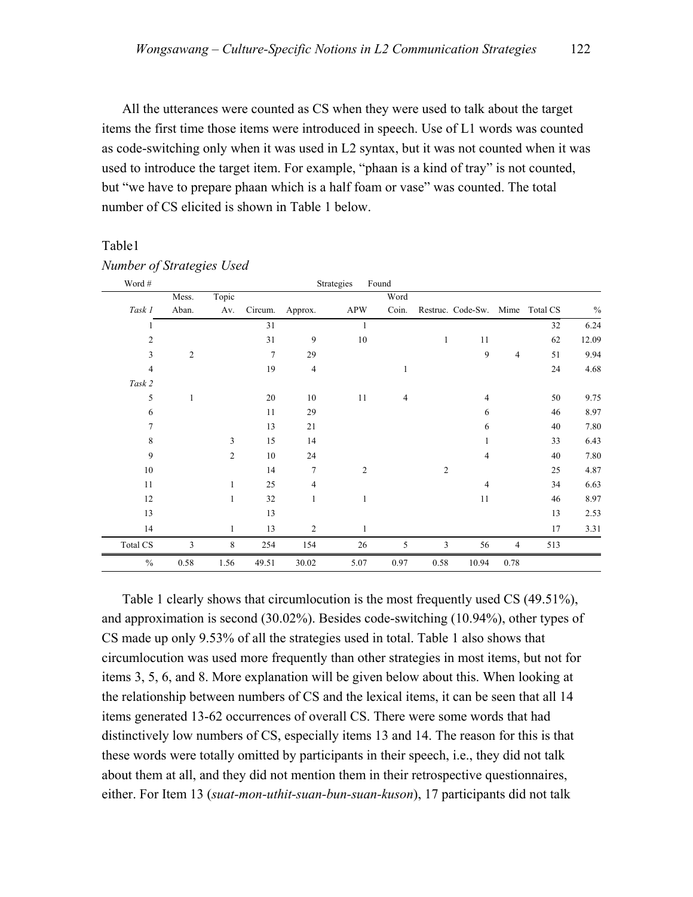All the utterances were counted as CS when they were used to talk about the target items the first time those items were introduced in speech. Use of L1 words was counted as code-switching only when it was used in L2 syntax, but it was not counted when it was used to introduce the target item. For example, "phaan is a kind of tray" is not counted, but "we have to prepare phaan which is a half foam or vase" was counted. The total number of CS elicited is shown in Table 1 below.

#### Table1

| Word #         |                |                |                |                | Strategies     | Found          |                |                                 |                |        |       |
|----------------|----------------|----------------|----------------|----------------|----------------|----------------|----------------|---------------------------------|----------------|--------|-------|
|                | Mess.          | Topic          |                |                |                | Word           |                |                                 |                |        |       |
| Task 1         | Aban.          | Av.            | Circum.        | Approx.        | <b>APW</b>     | Coin.          |                | Restruc. Code-Sw. Mime Total CS |                |        | $\%$  |
|                |                |                | 31             |                | 1              |                |                |                                 |                | 32     | 6.24  |
| $\overline{c}$ |                |                | 31             | 9              | $10\,$         |                | 1              | 11                              |                | 62     | 12.09 |
| 3              | $\overline{c}$ |                | $\overline{7}$ | 29             |                |                |                | 9                               | $\overline{4}$ | 51     | 9.94  |
| 4              |                |                | 19             | $\overline{4}$ |                |                |                |                                 |                | 24     | 4.68  |
| Task 2         |                |                |                |                |                |                |                |                                 |                |        |       |
| 5              | 1              |                | 20             | 10             | 11             | $\overline{4}$ |                | 4                               |                | 50     | 9.75  |
| 6              |                |                | 11             | 29             |                |                |                | 6                               |                | 46     | 8.97  |
| 7              |                |                | 13             | 21             |                |                |                | 6                               |                | 40     | 7.80  |
| 8              |                | 3              | 15             | 14             |                |                |                |                                 |                | 33     | 6.43  |
| 9              |                | $\overline{2}$ | 10             | 24             |                |                |                | 4                               |                | $40\,$ | 7.80  |
| 10             |                |                | 14             | $\overline{7}$ | $\overline{2}$ |                | $\overline{2}$ |                                 |                | 25     | 4.87  |
| 11             |                | 1              | 25             | $\overline{4}$ |                |                |                | 4                               |                | 34     | 6.63  |
| 12             |                | 1              | 32             | $\mathbf{1}$   | 1              |                |                | 11                              |                | 46     | 8.97  |
| 13             |                |                | 13             |                |                |                |                |                                 |                | 13     | 2.53  |
| 14             |                | 1              | 13             | $\overline{2}$ | 1              |                |                |                                 |                | 17     | 3.31  |
| Total CS       | 3              | 8              | 254            | 154            | 26             | 5              | 3              | 56                              | $\overline{4}$ | 513    |       |
| $\frac{0}{0}$  | 0.58           | 1.56           | 49.51          | 30.02          | 5.07           | 0.97           | 0.58           | 10.94                           | 0.78           |        |       |

#### *Number of Strategies Used*

Table 1 clearly shows that circumlocution is the most frequently used CS (49.51%), and approximation is second (30.02%). Besides code-switching (10.94%), other types of CS made up only 9.53% of all the strategies used in total. Table 1 also shows that circumlocution was used more frequently than other strategies in most items, but not for items 3, 5, 6, and 8. More explanation will be given below about this. When looking at the relationship between numbers of CS and the lexical items, it can be seen that all 14 items generated 13-62 occurrences of overall CS. There were some words that had distinctively low numbers of CS, especially items 13 and 14. The reason for this is that these words were totally omitted by participants in their speech, i.e., they did not talk about them at all, and they did not mention them in their retrospective questionnaires, either. For Item 13 (*suat-mon-uthit-suan-bun-suan-kuson*), 17 participants did not talk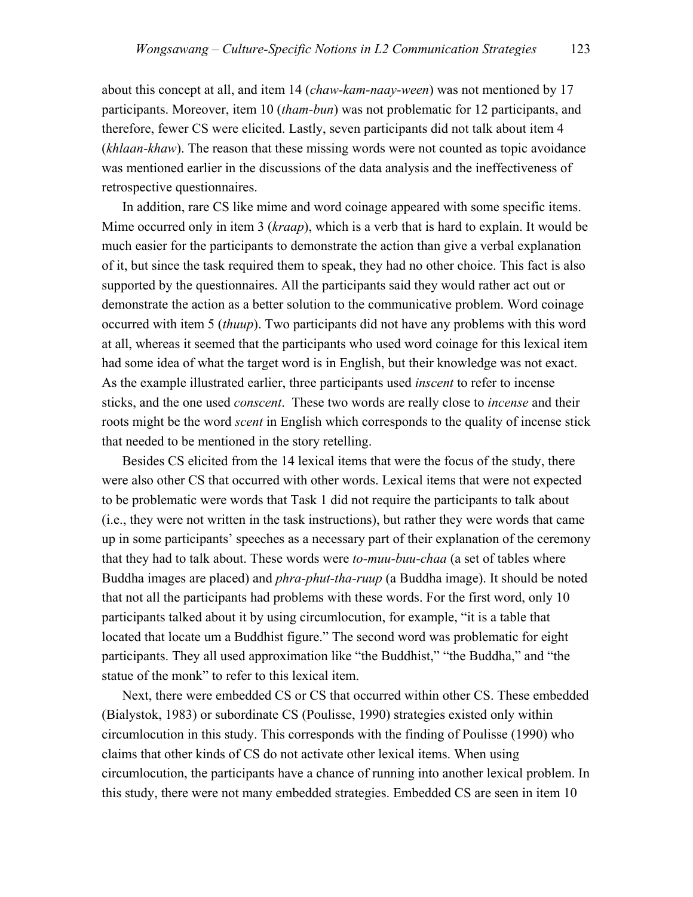about this concept at all, and item 14 (*chaw-kam-naay-ween*) was not mentioned by 17 participants. Moreover, item 10 (*tham-bun*) was not problematic for 12 participants, and therefore, fewer CS were elicited. Lastly, seven participants did not talk about item 4 (*khlaan-khaw*). The reason that these missing words were not counted as topic avoidance was mentioned earlier in the discussions of the data analysis and the ineffectiveness of retrospective questionnaires.

In addition, rare CS like mime and word coinage appeared with some specific items. Mime occurred only in item 3 (*kraap*), which is a verb that is hard to explain. It would be much easier for the participants to demonstrate the action than give a verbal explanation of it, but since the task required them to speak, they had no other choice. This fact is also supported by the questionnaires. All the participants said they would rather act out or demonstrate the action as a better solution to the communicative problem. Word coinage occurred with item 5 (*thuup*). Two participants did not have any problems with this word at all, whereas it seemed that the participants who used word coinage for this lexical item had some idea of what the target word is in English, but their knowledge was not exact. As the example illustrated earlier, three participants used *inscent* to refer to incense sticks, and the one used *conscent*. These two words are really close to *incense* and their roots might be the word *scent* in English which corresponds to the quality of incense stick that needed to be mentioned in the story retelling.

Besides CS elicited from the 14 lexical items that were the focus of the study, there were also other CS that occurred with other words. Lexical items that were not expected to be problematic were words that Task 1 did not require the participants to talk about (i.e., they were not written in the task instructions), but rather they were words that came up in some participants' speeches as a necessary part of their explanation of the ceremony that they had to talk about. These words were *to-muu-buu-chaa* (a set of tables where Buddha images are placed) and *phra-phut-tha-ruup* (a Buddha image). It should be noted that not all the participants had problems with these words. For the first word, only 10 participants talked about it by using circumlocution, for example, "it is a table that located that locate um a Buddhist figure." The second word was problematic for eight participants. They all used approximation like "the Buddhist," "the Buddha," and "the statue of the monk" to refer to this lexical item.

Next, there were embedded CS or CS that occurred within other CS. These embedded (Bialystok, 1983) or subordinate CS (Poulisse, 1990) strategies existed only within circumlocution in this study. This corresponds with the finding of Poulisse (1990) who claims that other kinds of CS do not activate other lexical items. When using circumlocution, the participants have a chance of running into another lexical problem. In this study, there were not many embedded strategies. Embedded CS are seen in item 10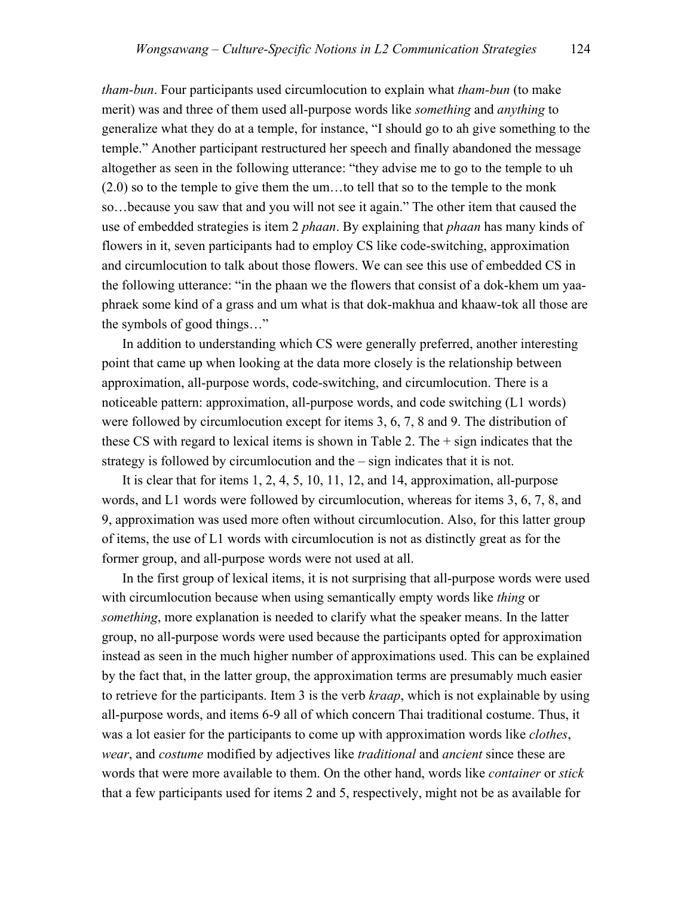*tham-bun*. Four participants used circumlocution to explain what *tham-bun* (to make merit) was and three of them used all-purpose words like *something* and *anything* to generalize what they do at a temple, for instance, "I should go to ah give something to the temple." Another participant restructured her speech and finally abandoned the message altogether as seen in the following utterance: "they advise me to go to the temple to uh (2.0) so to the temple to give them the um…to tell that so to the temple to the monk so…because you saw that and you will not see it again." The other item that caused the use of embedded strategies is item 2 *phaan*. By explaining that *phaan* has many kinds of flowers in it, seven participants had to employ CS like code-switching, approximation and circumlocution to talk about those flowers. We can see this use of embedded CS in the following utterance: "in the phaan we the flowers that consist of a dok-khem um yaaphraek some kind of a grass and um what is that dok-makhua and khaaw-tok all those are the symbols of good things…"

In addition to understanding which CS were generally preferred, another interesting point that came up when looking at the data more closely is the relationship between approximation, all-purpose words, code-switching, and circumlocution. There is a noticeable pattern: approximation, all-purpose words, and code switching (L1 words) were followed by circumlocution except for items 3, 6, 7, 8 and 9. The distribution of these CS with regard to lexical items is shown in Table 2. The + sign indicates that the strategy is followed by circumlocution and the – sign indicates that it is not.

It is clear that for items 1, 2, 4, 5, 10, 11, 12, and 14, approximation, all-purpose words, and L1 words were followed by circumlocution, whereas for items 3, 6, 7, 8, and 9, approximation was used more often without circumlocution. Also, for this latter group of items, the use of L1 words with circumlocution is not as distinctly great as for the former group, and all-purpose words were not used at all.

In the first group of lexical items, it is not surprising that all-purpose words were used with circumlocution because when using semantically empty words like *thing* or *something*, more explanation is needed to clarify what the speaker means. In the latter group, no all-purpose words were used because the participants opted for approximation instead as seen in the much higher number of approximations used. This can be explained by the fact that, in the latter group, the approximation terms are presumably much easier to retrieve for the participants. Item 3 is the verb *kraap*, which is not explainable by using all-purpose words, and items 6-9 all of which concern Thai traditional costume. Thus, it was a lot easier for the participants to come up with approximation words like *clothes*, *wear*, and *costume* modified by adjectives like *traditional* and *ancient* since these are words that were more available to them. On the other hand, words like *container* or *stick* that a few participants used for items 2 and 5, respectively, might not be as available for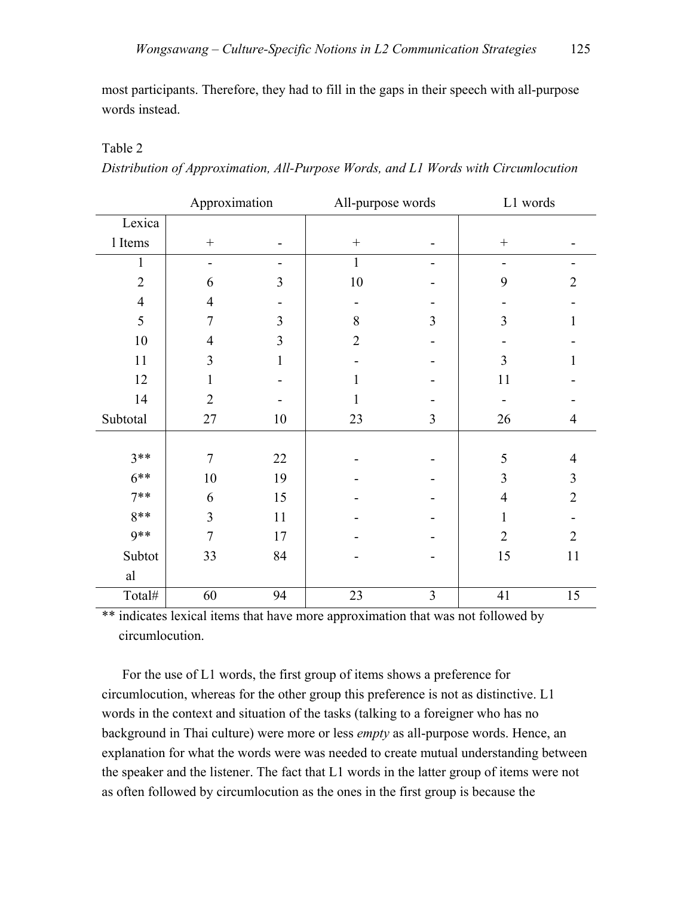most participants. Therefore, they had to fill in the gaps in their speech with all-purpose words instead.

#### Table 2

*Distribution of Approximation, All-Purpose Words, and L1 Words with Circumlocution* 

|                | Approximation            |        | All-purpose words |                          | L1 words         |                |
|----------------|--------------------------|--------|-------------------|--------------------------|------------------|----------------|
| Lexica         |                          |        |                   |                          |                  |                |
| 1 Items        |                          |        | $\boldsymbol{+}$  |                          | $\boldsymbol{+}$ |                |
| 1              | $\overline{\phantom{a}}$ | ۰      | $\mathbf{1}$      | $\overline{\phantom{0}}$ | -                | Ξ.             |
| $\overline{2}$ | 6                        | 3      | 10                |                          | 9                | $\overline{2}$ |
| $\overline{4}$ | 4                        |        |                   |                          |                  |                |
| 5              | $\tau$                   | 3      | 8                 | 3                        | 3                | 1              |
| 10             | 4                        | 3      | $\overline{2}$    |                          |                  |                |
| 11             | 3                        | 1      |                   |                          | 3                | 1              |
| 12             | 1                        |        | 1                 |                          | 11               |                |
| 14             | $\overline{2}$           |        | 1                 |                          |                  |                |
| Subtotal       | 27                       | 10     | 23                | 3                        | 26               | $\overline{4}$ |
|                |                          |        |                   |                          |                  |                |
| $3**$          | $\overline{7}$           | $22\,$ |                   |                          | 5                | $\overline{4}$ |
| $6***$         | 10                       | 19     |                   |                          | 3                | 3              |
| $7**$          | 6                        | 15     |                   |                          | $\overline{4}$   | $\overline{2}$ |
| 8**            | $\overline{3}$           | 11     |                   |                          | 1                |                |
| $9**$          | $\overline{7}$           | 17     |                   |                          | $\overline{2}$   | $\overline{2}$ |
| Subtot         | 33                       | 84     |                   |                          | 15               | 11             |
| al             |                          |        |                   |                          |                  |                |
| Total#         | 60                       | 94     | 23                | 3                        | 41               | 15             |

\*\* indicates lexical items that have more approximation that was not followed by circumlocution.

For the use of L1 words, the first group of items shows a preference for circumlocution, whereas for the other group this preference is not as distinctive. L1 words in the context and situation of the tasks (talking to a foreigner who has no background in Thai culture) were more or less *empty* as all-purpose words. Hence, an explanation for what the words were was needed to create mutual understanding between the speaker and the listener. The fact that L1 words in the latter group of items were not as often followed by circumlocution as the ones in the first group is because the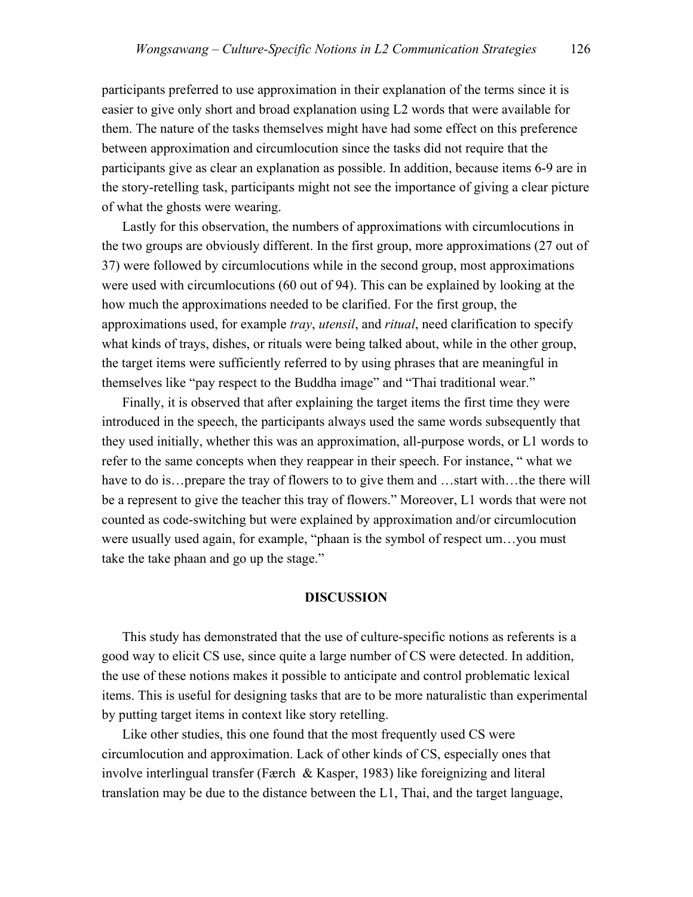participants preferred to use approximation in their explanation of the terms since it is easier to give only short and broad explanation using L2 words that were available for them. The nature of the tasks themselves might have had some effect on this preference between approximation and circumlocution since the tasks did not require that the participants give as clear an explanation as possible. In addition, because items 6-9 are in the story-retelling task, participants might not see the importance of giving a clear picture of what the ghosts were wearing.

Lastly for this observation, the numbers of approximations with circumlocutions in the two groups are obviously different. In the first group, more approximations (27 out of 37) were followed by circumlocutions while in the second group, most approximations were used with circumlocutions (60 out of 94). This can be explained by looking at the how much the approximations needed to be clarified. For the first group, the approximations used, for example *tray*, *utensil*, and *ritual*, need clarification to specify what kinds of trays, dishes, or rituals were being talked about, while in the other group, the target items were sufficiently referred to by using phrases that are meaningful in themselves like "pay respect to the Buddha image" and "Thai traditional wear."

Finally, it is observed that after explaining the target items the first time they were introduced in the speech, the participants always used the same words subsequently that they used initially, whether this was an approximation, all-purpose words, or L1 words to refer to the same concepts when they reappear in their speech. For instance, " what we have to do is…prepare the tray of flowers to to give them and …start with…the there will be a represent to give the teacher this tray of flowers." Moreover, L1 words that were not counted as code-switching but were explained by approximation and/or circumlocution were usually used again, for example, "phaan is the symbol of respect um…you must take the take phaan and go up the stage."

#### **DISCUSSION**

This study has demonstrated that the use of culture-specific notions as referents is a good way to elicit CS use, since quite a large number of CS were detected. In addition, the use of these notions makes it possible to anticipate and control problematic lexical items. This is useful for designing tasks that are to be more naturalistic than experimental by putting target items in context like story retelling.

Like other studies, this one found that the most frequently used CS were circumlocution and approximation. Lack of other kinds of CS, especially ones that involve interlingual transfer (Færch & Kasper, 1983) like foreignizing and literal translation may be due to the distance between the L1, Thai, and the target language,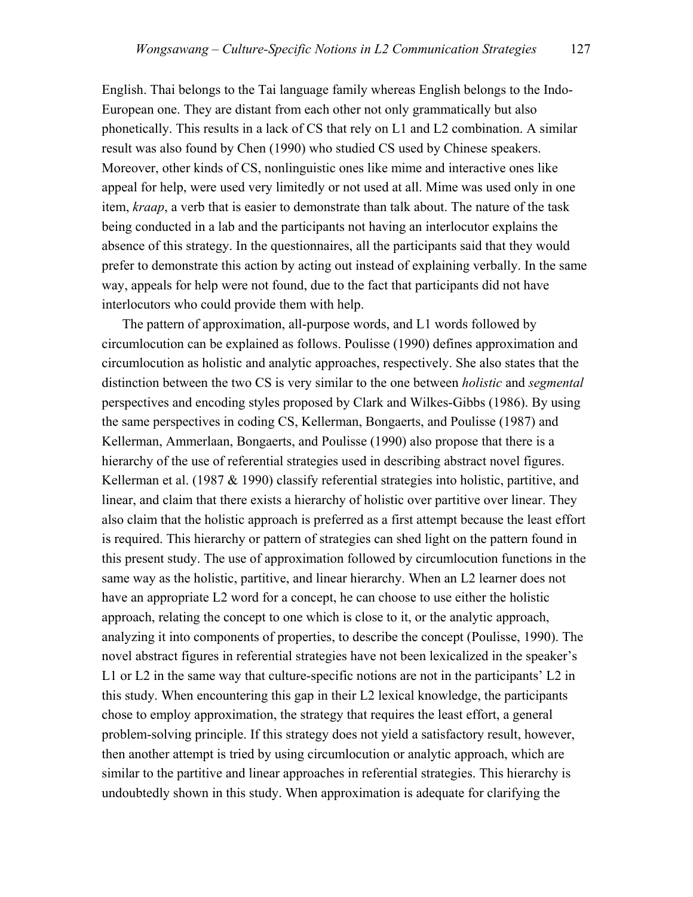English. Thai belongs to the Tai language family whereas English belongs to the Indo-European one. They are distant from each other not only grammatically but also phonetically. This results in a lack of CS that rely on L1 and L2 combination. A similar result was also found by Chen (1990) who studied CS used by Chinese speakers. Moreover, other kinds of CS, nonlinguistic ones like mime and interactive ones like appeal for help, were used very limitedly or not used at all. Mime was used only in one item, *kraap*, a verb that is easier to demonstrate than talk about. The nature of the task being conducted in a lab and the participants not having an interlocutor explains the absence of this strategy. In the questionnaires, all the participants said that they would prefer to demonstrate this action by acting out instead of explaining verbally. In the same way, appeals for help were not found, due to the fact that participants did not have interlocutors who could provide them with help.

The pattern of approximation, all-purpose words, and L1 words followed by circumlocution can be explained as follows. Poulisse (1990) defines approximation and circumlocution as holistic and analytic approaches, respectively. She also states that the distinction between the two CS is very similar to the one between *holistic* and *segmental* perspectives and encoding styles proposed by Clark and Wilkes-Gibbs (1986). By using the same perspectives in coding CS, Kellerman, Bongaerts, and Poulisse (1987) and Kellerman, Ammerlaan, Bongaerts, and Poulisse (1990) also propose that there is a hierarchy of the use of referential strategies used in describing abstract novel figures. Kellerman et al. (1987  $&$  1990) classify referential strategies into holistic, partitive, and linear, and claim that there exists a hierarchy of holistic over partitive over linear. They also claim that the holistic approach is preferred as a first attempt because the least effort is required. This hierarchy or pattern of strategies can shed light on the pattern found in this present study. The use of approximation followed by circumlocution functions in the same way as the holistic, partitive, and linear hierarchy. When an L2 learner does not have an appropriate L2 word for a concept, he can choose to use either the holistic approach, relating the concept to one which is close to it, or the analytic approach, analyzing it into components of properties, to describe the concept (Poulisse, 1990). The novel abstract figures in referential strategies have not been lexicalized in the speaker's L1 or L2 in the same way that culture-specific notions are not in the participants' L2 in this study. When encountering this gap in their L2 lexical knowledge, the participants chose to employ approximation, the strategy that requires the least effort, a general problem-solving principle. If this strategy does not yield a satisfactory result, however, then another attempt is tried by using circumlocution or analytic approach, which are similar to the partitive and linear approaches in referential strategies. This hierarchy is undoubtedly shown in this study. When approximation is adequate for clarifying the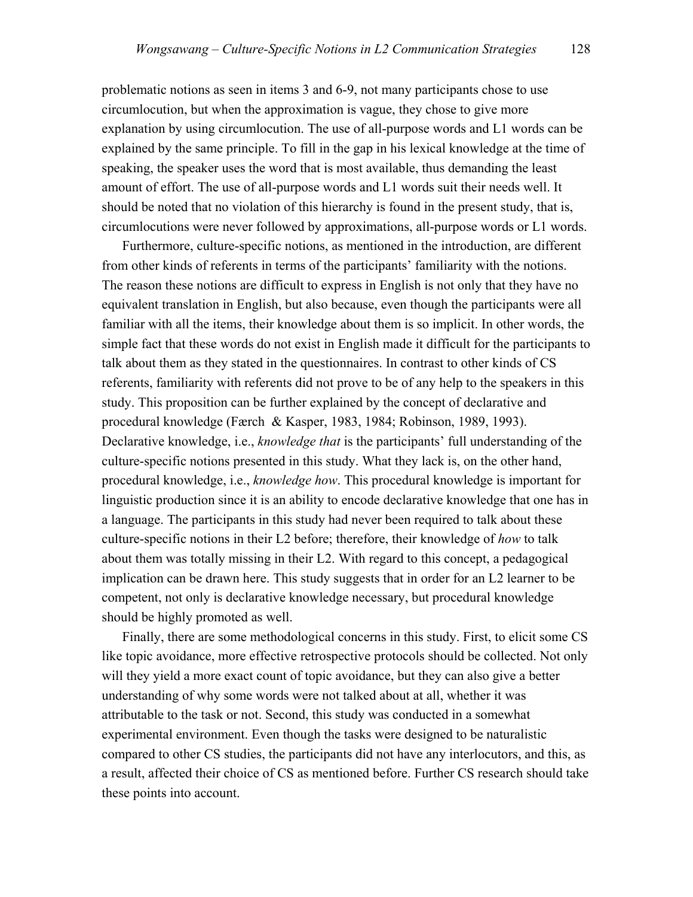problematic notions as seen in items 3 and 6-9, not many participants chose to use circumlocution, but when the approximation is vague, they chose to give more explanation by using circumlocution. The use of all-purpose words and L1 words can be explained by the same principle. To fill in the gap in his lexical knowledge at the time of speaking, the speaker uses the word that is most available, thus demanding the least amount of effort. The use of all-purpose words and L1 words suit their needs well. It should be noted that no violation of this hierarchy is found in the present study, that is, circumlocutions were never followed by approximations, all-purpose words or L1 words.

Furthermore, culture-specific notions, as mentioned in the introduction, are different from other kinds of referents in terms of the participants' familiarity with the notions. The reason these notions are difficult to express in English is not only that they have no equivalent translation in English, but also because, even though the participants were all familiar with all the items, their knowledge about them is so implicit. In other words, the simple fact that these words do not exist in English made it difficult for the participants to talk about them as they stated in the questionnaires. In contrast to other kinds of CS referents, familiarity with referents did not prove to be of any help to the speakers in this study. This proposition can be further explained by the concept of declarative and procedural knowledge (Færch & Kasper, 1983, 1984; Robinson, 1989, 1993). Declarative knowledge, i.e., *knowledge that* is the participants' full understanding of the culture-specific notions presented in this study. What they lack is, on the other hand, procedural knowledge, i.e., *knowledge how*. This procedural knowledge is important for linguistic production since it is an ability to encode declarative knowledge that one has in a language. The participants in this study had never been required to talk about these culture-specific notions in their L2 before; therefore, their knowledge of *how* to talk about them was totally missing in their L2. With regard to this concept, a pedagogical implication can be drawn here. This study suggests that in order for an L2 learner to be competent, not only is declarative knowledge necessary, but procedural knowledge should be highly promoted as well.

Finally, there are some methodological concerns in this study. First, to elicit some CS like topic avoidance, more effective retrospective protocols should be collected. Not only will they yield a more exact count of topic avoidance, but they can also give a better understanding of why some words were not talked about at all, whether it was attributable to the task or not. Second, this study was conducted in a somewhat experimental environment. Even though the tasks were designed to be naturalistic compared to other CS studies, the participants did not have any interlocutors, and this, as a result, affected their choice of CS as mentioned before. Further CS research should take these points into account.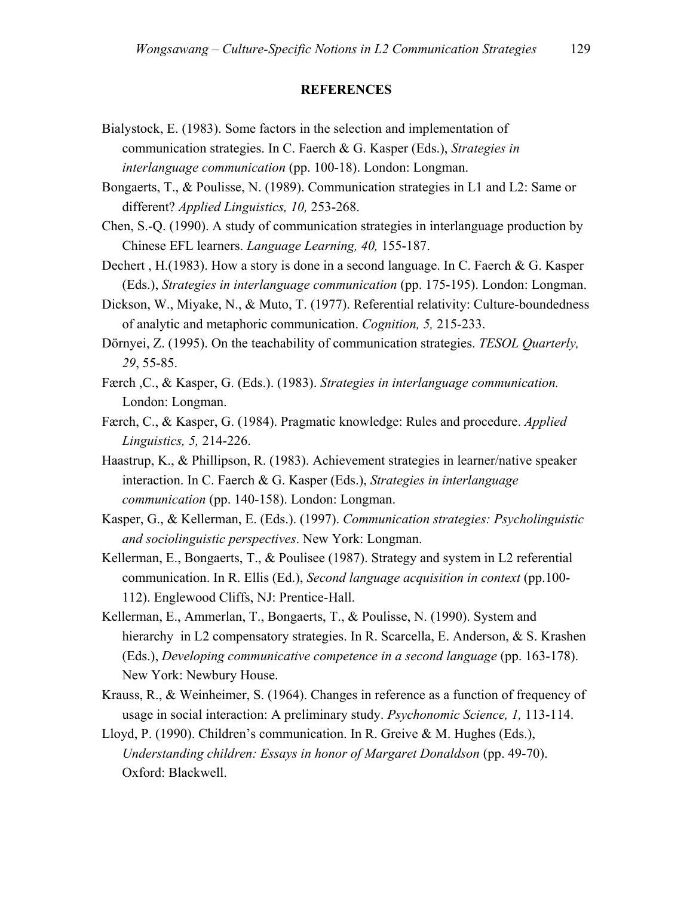#### **REFERENCES**

- Bialystock, E. (1983). Some factors in the selection and implementation of communication strategies. In C. Faerch & G. Kasper (Eds.), *Strategies in interlanguage communication* (pp. 100-18). London: Longman.
- Bongaerts, T., & Poulisse, N. (1989). Communication strategies in L1 and L2: Same or different? *Applied Linguistics, 10,* 253-268.
- Chen, S.-Q. (1990). A study of communication strategies in interlanguage production by Chinese EFL learners. *Language Learning, 40,* 155-187.
- Dechert , H.(1983). How a story is done in a second language. In C. Faerch & G. Kasper (Eds.), *Strategies in interlanguage communication* (pp. 175-195). London: Longman.
- Dickson, W., Miyake, N., & Muto, T. (1977). Referential relativity: Culture-boundedness of analytic and metaphoric communication. *Cognition, 5,* 215-233.
- Dörnyei, Z. (1995). On the teachability of communication strategies. *TESOL Quarterly, 29*, 55-85.
- Færch ,C., & Kasper, G. (Eds.). (1983). *Strategies in interlanguage communication.*  London: Longman.
- Færch, C., & Kasper, G. (1984). Pragmatic knowledge: Rules and procedure. *Applied Linguistics, 5,* 214-226.
- Haastrup, K., & Phillipson, R. (1983). Achievement strategies in learner/native speaker interaction. In C. Faerch & G. Kasper (Eds.), *Strategies in interlanguage communication* (pp. 140-158). London: Longman.
- Kasper, G., & Kellerman, E. (Eds.). (1997). *Communication strategies: Psycholinguistic and sociolinguistic perspectives*. New York: Longman.
- Kellerman, E., Bongaerts, T., & Poulisee (1987). Strategy and system in L2 referential communication. In R. Ellis (Ed.), *Second language acquisition in context* (pp.100- 112). Englewood Cliffs, NJ: Prentice-Hall.
- Kellerman, E., Ammerlan, T., Bongaerts, T., & Poulisse, N. (1990). System and hierarchy in L2 compensatory strategies. In R. Scarcella, E. Anderson, & S. Krashen (Eds.), *Developing communicative competence in a second language* (pp. 163-178). New York: Newbury House.
- Krauss, R., & Weinheimer, S. (1964). Changes in reference as a function of frequency of usage in social interaction: A preliminary study. *Psychonomic Science, 1,* 113-114.
- Lloyd, P. (1990). Children's communication. In R. Greive & M. Hughes (Eds.), *Understanding children: Essays in honor of Margaret Donaldson* (pp. 49-70). Oxford: Blackwell.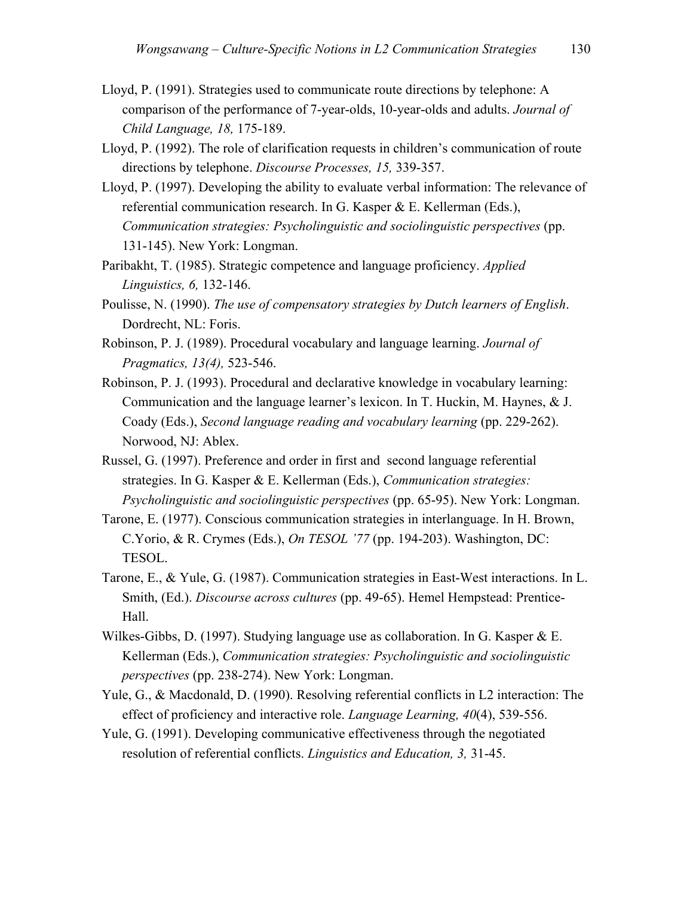- Lloyd, P. (1991). Strategies used to communicate route directions by telephone: A comparison of the performance of 7-year-olds, 10-year-olds and adults. *Journal of Child Language, 18,* 175-189.
- Lloyd, P. (1992). The role of clarification requests in children's communication of route directions by telephone. *Discourse Processes, 15,* 339-357.
- Lloyd, P. (1997). Developing the ability to evaluate verbal information: The relevance of referential communication research. In G. Kasper & E. Kellerman (Eds.), *Communication strategies: Psycholinguistic and sociolinguistic perspectives* (pp. 131-145). New York: Longman.
- Paribakht, T. (1985). Strategic competence and language proficiency. *Applied Linguistics, 6,* 132-146.
- Poulisse, N. (1990). *The use of compensatory strategies by Dutch learners of English*. Dordrecht, NL: Foris.
- Robinson, P. J. (1989). Procedural vocabulary and language learning. *Journal of Pragmatics, 13(4),* 523-546.
- Robinson, P. J. (1993). Procedural and declarative knowledge in vocabulary learning: Communication and the language learner's lexicon. In T. Huckin, M. Haynes, & J. Coady (Eds.), *Second language reading and vocabulary learning* (pp. 229-262). Norwood, NJ: Ablex.
- Russel, G. (1997). Preference and order in first and second language referential strategies. In G. Kasper & E. Kellerman (Eds.), *Communication strategies: Psycholinguistic and sociolinguistic perspectives* (pp. 65-95). New York: Longman.
- Tarone, E. (1977). Conscious communication strategies in interlanguage. In H. Brown, C.Yorio, & R. Crymes (Eds.), *On TESOL '77* (pp. 194-203). Washington, DC: TESOL.
- Tarone, E., & Yule, G. (1987). Communication strategies in East-West interactions. In L. Smith, (Ed.). *Discourse across cultures* (pp. 49-65). Hemel Hempstead: Prentice-Hall.
- Wilkes-Gibbs, D. (1997). Studying language use as collaboration. In G. Kasper & E. Kellerman (Eds.), *Communication strategies: Psycholinguistic and sociolinguistic perspectives* (pp. 238-274). New York: Longman.
- Yule, G., & Macdonald, D. (1990). Resolving referential conflicts in L2 interaction: The effect of proficiency and interactive role. *Language Learning, 40*(4), 539-556.
- Yule, G. (1991). Developing communicative effectiveness through the negotiated resolution of referential conflicts. *Linguistics and Education, 3,* 31-45.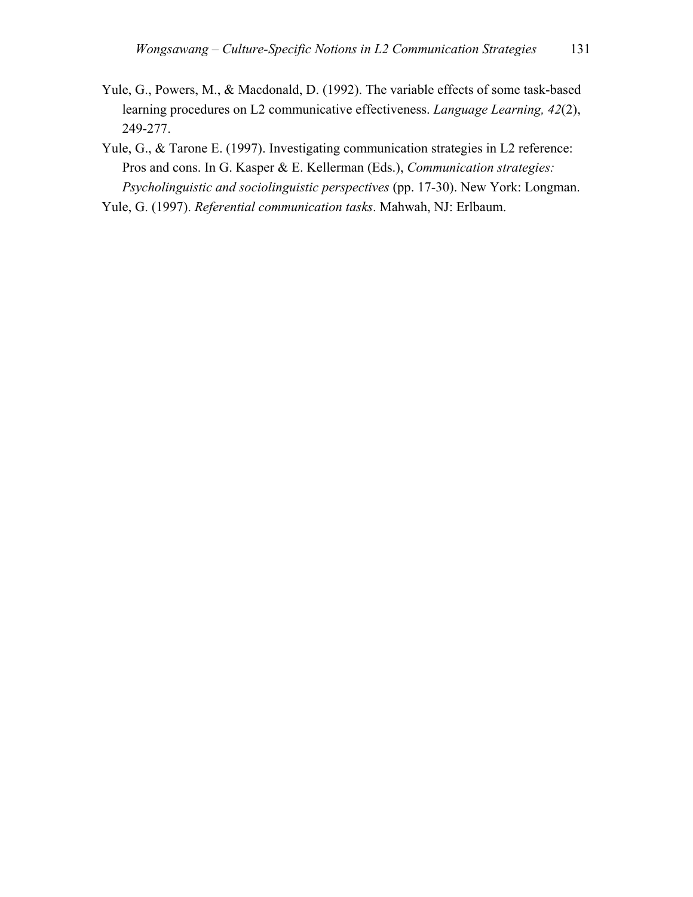Yule, G., Powers, M., & Macdonald, D. (1992). The variable effects of some task-based learning procedures on L2 communicative effectiveness. *Language Learning, 42*(2), 249-277.

Yule, G., & Tarone E. (1997). Investigating communication strategies in L2 reference: Pros and cons. In G. Kasper & E. Kellerman (Eds.), *Communication strategies: Psycholinguistic and sociolinguistic perspectives* (pp. 17-30). New York: Longman.

Yule, G. (1997). *Referential communication tasks*. Mahwah, NJ: Erlbaum.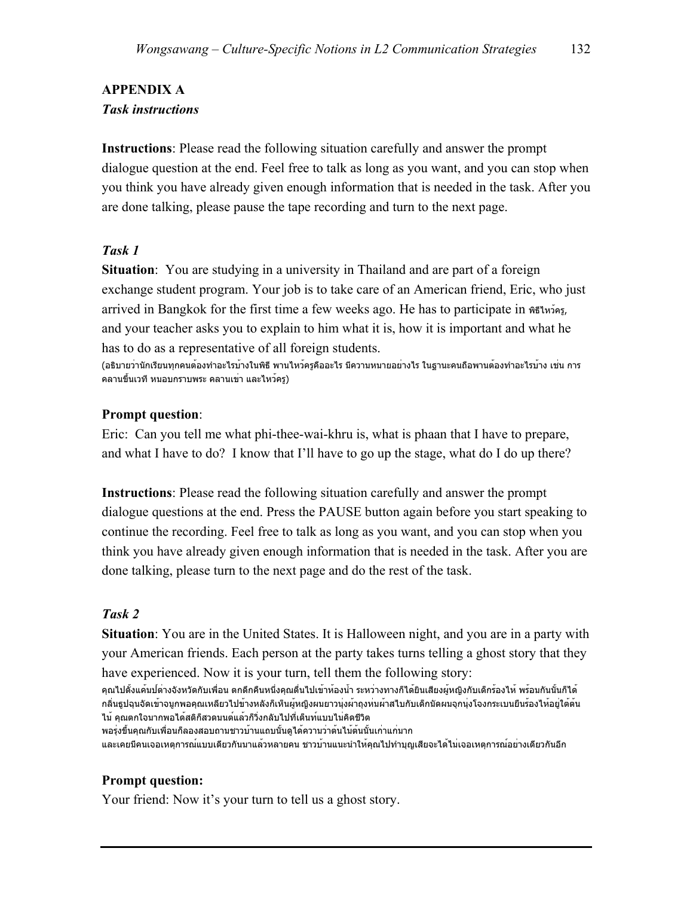# **APPENDIX A**  *Task instructions*

**Instructions**: Please read the following situation carefully and answer the prompt dialogue question at the end. Feel free to talk as long as you want, and you can stop when you think you have already given enough information that is needed in the task. After you are done talking, please pause the tape recording and turn to the next page.

### *Task 1*

**Situation**: You are studying in a university in Thailand and are part of a foreign exchange student program. Your job is to take care of an American friend, Eric, who just arrived in Bangkok for the first time a few weeks ago. He has to participate in พิธีไหว้ครู, and your teacher asks you to explain to him what it is, how it is important and what he has to do as a representative of all foreign students.

(อธิบายว่านักเรียนทุกคนต้องทำอะไรบ้างในพิธีพานไหว้ครูคืออะไร มีความหมายอย่างไร ในฐานะคนถือพานต้องทำอะไรบ้าง เช่น การ คลานขึ้นเวทีหมอบกราบพระ คลานเข่า และไหว้ครู)

### **Prompt question**:

Eric: Can you tell me what phi-thee-wai-khru is, what is phaan that I have to prepare, and what I have to do? I know that I'll have to go up the stage, what do I do up there?

**Instructions**: Please read the following situation carefully and answer the prompt dialogue questions at the end. Press the PAUSE button again before you start speaking to continue the recording. Feel free to talk as long as you want, and you can stop when you think you have already given enough information that is needed in the task. After you are done talking, please turn to the next page and do the rest of the task.

## *Task 2*

**Situation**: You are in the United States. It is Halloween night, and you are in a party with your American friends. Each person at the party takes turns telling a ghost story that they have experienced. Now it is your turn, tell them the following story:

คุณไปตั้งแค้มป์ต่างจังหวัดกับเพื่อน ตกดึกคืนหนึ่งคุณตื่นไปเข้าห้องน้ำ ระหว่างทางก็ได้ยินเสียงผู้หญิงกับเด็กร้องไห้พร้อมกันนั้นก็ได้ กลิ่นธูปฉุนจัดเข้าจมูกพอคุณเหลียวไปข้างหลังก็เห็นผู้หญิงผมยาวนุ่งผ้าถุงห่มผ้าสไบกับเด็กมัดผมจุกนุ่งโจงกระเบนยืนร้องไห้อยู่ใต้ต้น ไม้คุณตกใจมากพอได้สติก็สวดมนต์แล้วก็วิ่งกลับไปที่เต็นท์แบบไม่คิดชีวิต

พอรุ่งขึ้นคุณกับเพื่อนก็ลองสอบถามชาวบ้านแถบนั้นดูได้ความว่าต้นไม้ต้นนั้นเก่าแก่มาก และเคยมีคนเจอเหตุการณ์แบบเดียวกันมาแล้วหลายคน ชาวบ้านแนะนำให้คุณไปทำบุญเสียจะได้ไม่เจอเหตุการณ์อย่างเดียวกันอีก

## **Prompt question:**

Your friend: Now it's your turn to tell us a ghost story.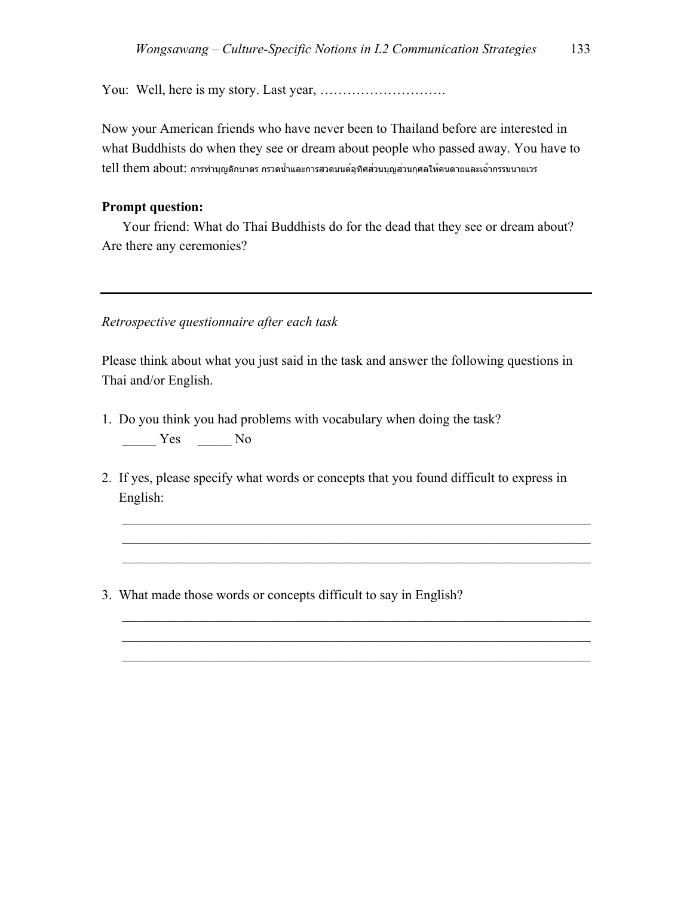You: Well, here is my story. Last year, ……………………….

Now your American friends who have never been to Thailand before are interested in what Buddhists do when they see or dream about people who passed away. You have to tell them about: การทำบุญตักบาตร กรวดน้ำและการสวดมนต์อุทิศส่วนบุญส่วนกุศลให้คนตายและเจ้ากรรมนายเวร

#### **Prompt question:**

Your friend: What do Thai Buddhists do for the dead that they see or dream about? Are there any ceremonies?

#### *Retrospective questionnaire after each task*

Please think about what you just said in the task and answer the following questions in Thai and/or English.

- 1. Do you think you had problems with vocabulary when doing the task?  $Yes$  No
- 2. If yes, please specify what words or concepts that you found difficult to express in English:

 $\mathcal{L}_\text{max}$  , and the contribution of the contribution of the contribution of the contribution of the contribution of the contribution of the contribution of the contribution of the contribution of the contribution of t  $\mathcal{L}_\mathcal{L} = \mathcal{L}_\mathcal{L} = \mathcal{L}_\mathcal{L} = \mathcal{L}_\mathcal{L} = \mathcal{L}_\mathcal{L} = \mathcal{L}_\mathcal{L} = \mathcal{L}_\mathcal{L} = \mathcal{L}_\mathcal{L} = \mathcal{L}_\mathcal{L} = \mathcal{L}_\mathcal{L} = \mathcal{L}_\mathcal{L} = \mathcal{L}_\mathcal{L} = \mathcal{L}_\mathcal{L} = \mathcal{L}_\mathcal{L} = \mathcal{L}_\mathcal{L} = \mathcal{L}_\mathcal{L} = \mathcal{L}_\mathcal{L}$  $\mathcal{L}_\mathcal{L} = \mathcal{L}_\mathcal{L} = \mathcal{L}_\mathcal{L} = \mathcal{L}_\mathcal{L} = \mathcal{L}_\mathcal{L} = \mathcal{L}_\mathcal{L} = \mathcal{L}_\mathcal{L} = \mathcal{L}_\mathcal{L} = \mathcal{L}_\mathcal{L} = \mathcal{L}_\mathcal{L} = \mathcal{L}_\mathcal{L} = \mathcal{L}_\mathcal{L} = \mathcal{L}_\mathcal{L} = \mathcal{L}_\mathcal{L} = \mathcal{L}_\mathcal{L} = \mathcal{L}_\mathcal{L} = \mathcal{L}_\mathcal{L}$ 

 $\mathcal{L}_\text{max}$  , and the contribution of the contribution of the contribution of the contribution of the contribution of the contribution of the contribution of the contribution of the contribution of the contribution of t  $\mathcal{L}_\mathcal{L} = \mathcal{L}_\mathcal{L} = \mathcal{L}_\mathcal{L} = \mathcal{L}_\mathcal{L} = \mathcal{L}_\mathcal{L} = \mathcal{L}_\mathcal{L} = \mathcal{L}_\mathcal{L} = \mathcal{L}_\mathcal{L} = \mathcal{L}_\mathcal{L} = \mathcal{L}_\mathcal{L} = \mathcal{L}_\mathcal{L} = \mathcal{L}_\mathcal{L} = \mathcal{L}_\mathcal{L} = \mathcal{L}_\mathcal{L} = \mathcal{L}_\mathcal{L} = \mathcal{L}_\mathcal{L} = \mathcal{L}_\mathcal{L}$  $\mathcal{L}_\mathcal{L} = \mathcal{L}_\mathcal{L} = \mathcal{L}_\mathcal{L} = \mathcal{L}_\mathcal{L} = \mathcal{L}_\mathcal{L} = \mathcal{L}_\mathcal{L} = \mathcal{L}_\mathcal{L} = \mathcal{L}_\mathcal{L} = \mathcal{L}_\mathcal{L} = \mathcal{L}_\mathcal{L} = \mathcal{L}_\mathcal{L} = \mathcal{L}_\mathcal{L} = \mathcal{L}_\mathcal{L} = \mathcal{L}_\mathcal{L} = \mathcal{L}_\mathcal{L} = \mathcal{L}_\mathcal{L} = \mathcal{L}_\mathcal{L}$ 

3. What made those words or concepts difficult to say in English?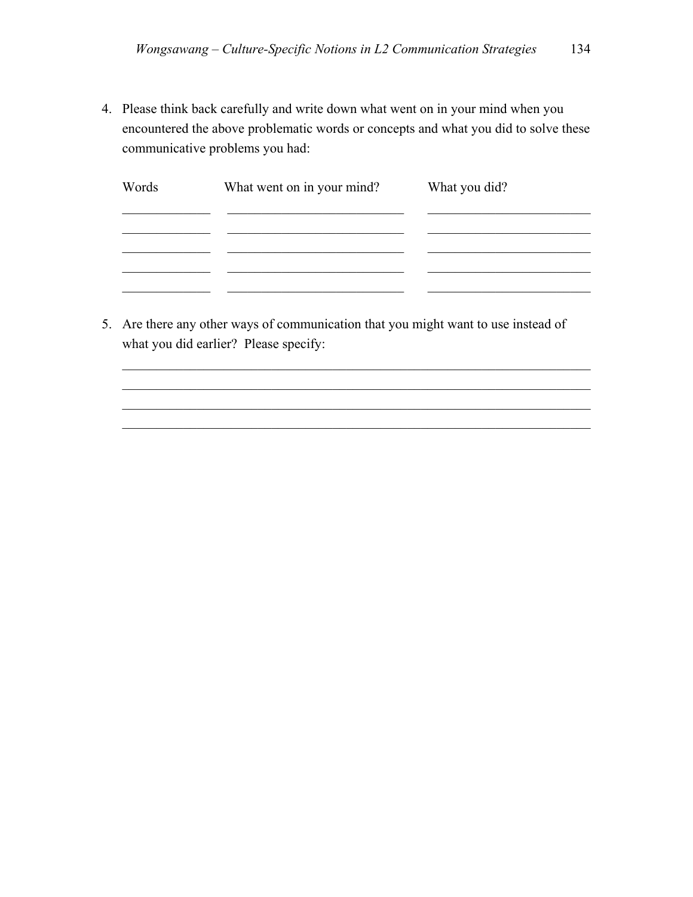4. Please think back carefully and write down what went on in your mind when you encountered the above problematic words or concepts and what you did to solve these communicative problems you had:

| Words | What went on in your mind? | What you did? |
|-------|----------------------------|---------------|
|       |                            |               |
|       |                            |               |
|       |                            |               |

 $\mathcal{L}_\text{max} = \frac{1}{2} \sum_{i=1}^n \mathcal{L}_\text{max}(\mathbf{z}_i - \mathbf{z}_i)$  $\mathcal{L}_\text{max} = \frac{1}{2} \sum_{i=1}^n \mathcal{L}_\text{max}(\mathbf{z}_i - \mathbf{z}_i)$  $\mathcal{L}_\text{max} = \frac{1}{2} \sum_{i=1}^n \mathcal{L}_\text{max}(\mathbf{z}_i - \mathbf{z}_i)$  $\mathcal{L}_\text{max} = \frac{1}{2} \sum_{i=1}^n \mathcal{L}_\text{max}(\mathbf{z}_i - \mathbf{z}_i)$ 

5. Are there any other ways of communication that you might want to use instead of what you did earlier? Please specify: